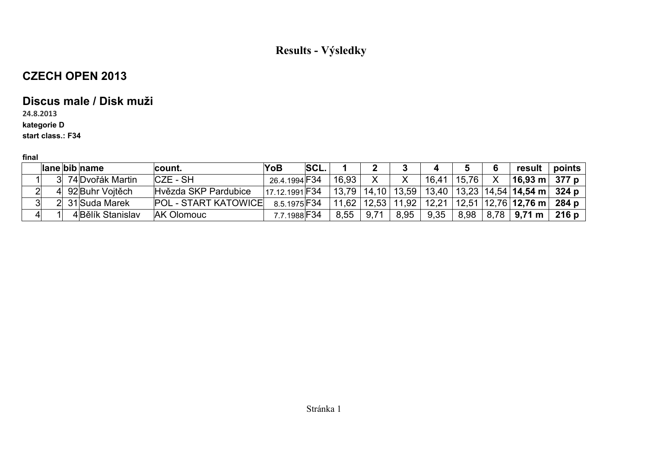## **CZECH OPEN 2013**

### **Discus male / Disk muži**

**24.8.2013**

**kategorie D**

**start class.: F34**

|  | lane bib name      | count.                      | YoB                 | <b>SCL.</b> |       |      |                                 |       |       | result                                                                   | points        |
|--|--------------------|-----------------------------|---------------------|-------------|-------|------|---------------------------------|-------|-------|--------------------------------------------------------------------------|---------------|
|  | 3 74 Dvořák Martin | $CZE - SH$                  | 26.4.1994 F34       |             | 16,93 |      |                                 | 16,41 | 15,76 | $ 16,93 \text{ m}  377 \text{ p}$                                        |               |
|  | ∣ 92 Buhr Vojtěch  | Hyězda SKP Pardubice        | 17.12.1991 F34      |             |       |      |                                 |       |       | $13,79$   14,10   13,59   13,40   13,23   14,54   <b>14,54 m   324 p</b> |               |
|  | 2 31 Suda Marek    | <b>POL - START KATOWICE</b> | 8.5.1975 F34        |             |       |      | $11,62$   12,53   11,92   12,21 |       |       | 12,51   12,76   <b>12,76 m     284 p</b>                                 |               |
|  | 4 Bělík Stanislav  | <b>AK Olomouc</b>           | 7.7.1988 <b>F34</b> |             | 8,55  | 9,71 | 8,95                            | 9,35  |       | 8,98   8,78   <b>9,71 m</b>                                              | 216 p $\vert$ |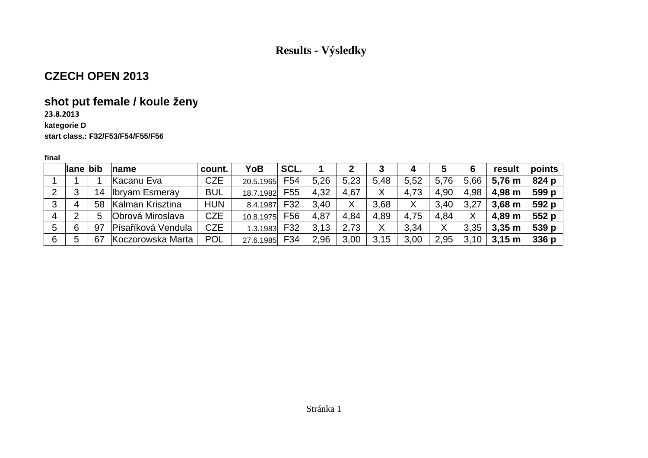### **CZECH OPEN 2013**

# **shot put female / koule ženy**

### **23.8.2013**

#### **kategorie D**

#### **start class.: F32/F53/F54/F55/F56**

|   | lane bib |    | $\mathsf{name}$       | count.     | YoB       | SCL. |      |      |      | 4    | ა    | 6    | result      | points           |
|---|----------|----|-----------------------|------------|-----------|------|------|------|------|------|------|------|-------------|------------------|
|   |          |    | Kacanu Eva            | <b>CZE</b> | 20.5.1965 | F54  | 5.26 | 5,23 | 5,48 | 5,52 | 5,76 | 5,66 | 5,76 m      | 824 p            |
|   |          | 14 | <b>Ibryam Esmeray</b> | <b>BUL</b> | 18.7.1982 | F55  | 4,32 | 4,67 | Χ    | 4,73 | 4,90 | 4,98 | 4,98 m      | 599 p            |
| 3 | 4        | 58 | Kalman Krisztina      | <b>HUN</b> | 8.4.1987  | F32  | 3,40 | Χ    | 3.68 |      | 3,40 | 3,27 | $3,68 \; m$ | 592 p            |
| 4 |          | 5  | Obrová Miroslava      | <b>CZE</b> | 10.8.1975 | F56  | 4,87 | 4,84 | 4,89 | 4,75 | 4,84 | Χ    | 4,89 m      | 552 p            |
| 5 | 6        | 97 | Písaříková Vendula    | <b>CZE</b> | 1.3.1983  | F32  | 3,13 | 2.73 |      | 3,34 | Χ    | 3,35 | $3,35 \; m$ | 539 p            |
| 6 | $\circ$  | 67 | Koczorowska Marta     | <b>POL</b> | 27.6.1985 | F34  | 2,96 | 3,00 | 3,15 | 3,00 | 2,95 | 3,10 | $3,15 \; m$ | 336 <sub>p</sub> |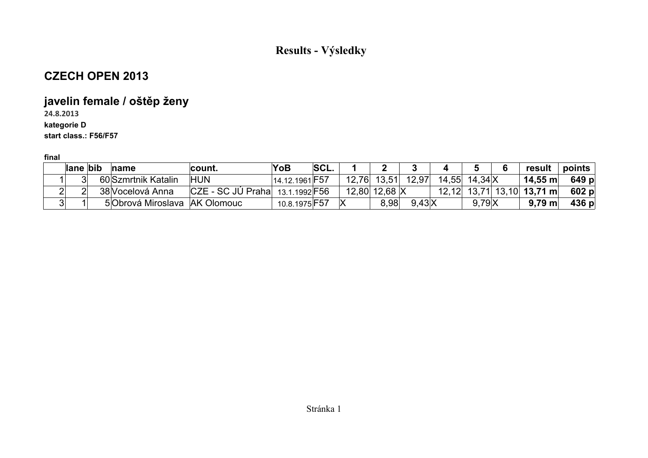### **CZECH OPEN 2013**

# **javelin female / oštěp ženy**

**24.8.2013**

**kategorie D**

**start class.: F56/F57**

| lane bib | $n$ ame                       | ⊺count.               | YoB                  | <b>SCL.</b> |               |                |                 | result                      | points |
|----------|-------------------------------|-----------------------|----------------------|-------------|---------------|----------------|-----------------|-----------------------------|--------|
|          | 60 Szmrtnik Katalin           | <b>HUN</b>            | 14.12.1961 F57       |             | $12,76$ 13,51 | 12,97          | 14,55 14,34 X   | 14,55 m∣                    | 649 p  |
|          | 38 Vocelová Anna              | $ CZE - SC JU Praha $ | 13.1.1992 <b>F56</b> |             | 12,80 12,68 X |                |                 | $12,12$ 13,71 13,10 13,71 m | 602 p  |
|          | 5 Obrová Miroslava AK Olomouc |                       | 10.8.1975 F57        |             | 8.98          | $9.43\text{X}$ | $9,79$ $\times$ | $9,79 \text{ m}$            | 436 p  |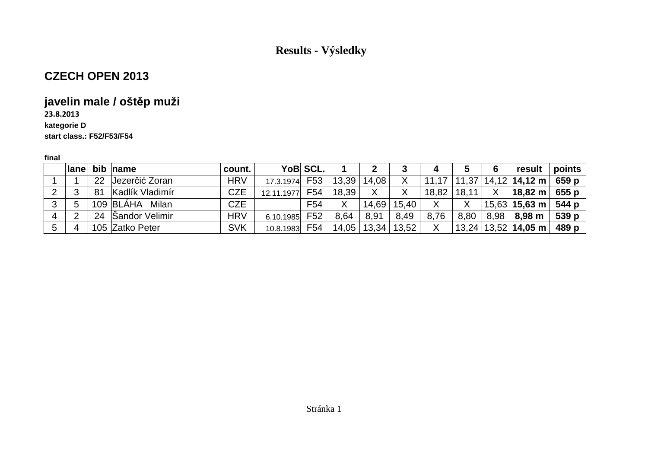## **CZECH OPEN 2013**

# **javelin male / oštěp muži**

### **23.8.2013**

### **kategorie D**

**start class.: F52/F53/F54**

|   | $l$ ane |    | bib name        | count.     |            | YoB SCL.        |       |       |       |       |       | 6     | result                                             | points |
|---|---------|----|-----------------|------------|------------|-----------------|-------|-------|-------|-------|-------|-------|----------------------------------------------------|--------|
|   |         | 22 | Jezerčić Zoran  | <b>HRV</b> | 17.3.1974  | F <sub>53</sub> | 13,39 | 14,08 | Χ     |       | 11,37 | 14,12 | $ 14,12 \text{ m} $                                | 659 p  |
|   |         | 81 | Kadlík Vladimír | <b>CZE</b> | 12.11.1977 | F54             | 18,39 |       |       | 18,82 | 18,11 | Χ     | 18,82 m                                            | 655 p  |
| 3 | 5       |    | 109 BLÁHA Milan | <b>CZE</b> |            | F <sub>54</sub> | Χ     | 14,69 | 15,40 |       |       |       | $^{\shortmid}$ 15,63 $\mid$ 15,63 m $_{\shortmid}$ | 544 p  |
|   | ⌒       | 24 | Sandor Velimir  | <b>HRV</b> | 6.10.1985  | F52             | 8.64  | 8,91  | 8,49  | 8,76  | 8,80  | 8,98  | 8,98 m                                             | 539p   |
| 5 | 4       |    | 105 Zatko Peter | <b>SVK</b> | 10.8.1983  | F54             | 14,05 | 13,34 | 13,52 | Χ     |       |       | $13,24$   13,52   14,05 m                          | 489 p  |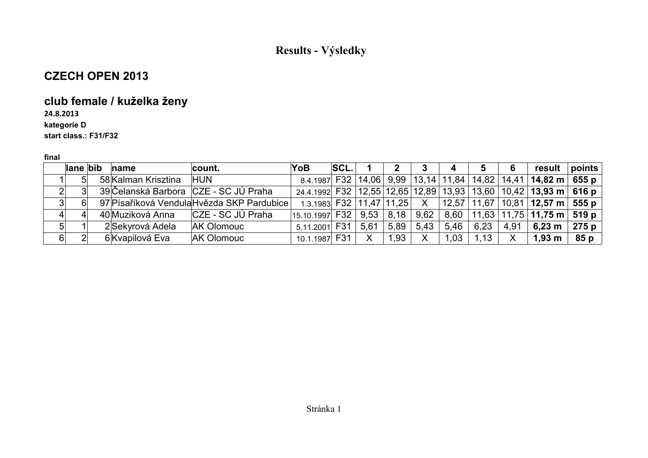### **CZECH OPEN 2013**

# **club female / kuželka ženy**

**24.8.2013**

**kategorie D**

**start class.: F31/F32**

|   | lane bib | $name$              | count.                                     | <b>YoB</b>     | <b>SCL.</b> |      |      |                | 4    | 5    | -6   | result                                                                                                                  | $ $ points |
|---|----------|---------------------|--------------------------------------------|----------------|-------------|------|------|----------------|------|------|------|-------------------------------------------------------------------------------------------------------------------------|------------|
|   | 51       | 58 Kalman Krisztina | <b>HUN</b>                                 |                |             |      |      |                |      |      |      | 8.4.1987 F32 14,06 9,99 13,14 11,84 14,82 14,41 1 <b>4,82 m</b> 655 p                                                   |            |
|   |          |                     | 39 Čelanská Barbora CZE - SC JÚ Praha      |                |             |      |      |                |      |      |      | 24.4.1992 F32 12,55 12,65 12,89 13,93 13,60 10,42 13,93 m 616 p                                                         |            |
|   |          |                     | 97 Písaříková Vendula Hvězda SKP Pardubice |                |             |      |      |                |      |      |      | $-$ 1.3.1983 F32   11,47   11,25 $-$ X $-$   12,57 $\mid$ 11,67 $\mid$ 10,81 $\mid$ <b>12,57 m</b> $-$ <b>555 p</b> $-$ |            |
|   |          |                     |                                            | 15.10.1997 F32 |             |      |      | 9.53 8.18 9.62 |      |      |      | 8,60 $\mid$ 11,63 $\mid$ 11,75 $\mid$ 11,75 m $\mid$ 519 p $\mid$                                                       |            |
| 5 |          | 2 Sekyrová Adela    | <b>AK Olomouc</b>                          | 5.11.2001 F31  |             | 5,61 | 5,89 | 5,43           | 5,46 | 6,23 | 4,91 | 6,23 m                                                                                                                  | 275 p      |
| 6 |          | 6 Kvapilová Eva     | <b>AK Olomouc</b>                          | 10.1.1987 F31  |             |      | 1,93 | X.             | 1,03 | 1,13 |      | 1,93 m                                                                                                                  | 85 p       |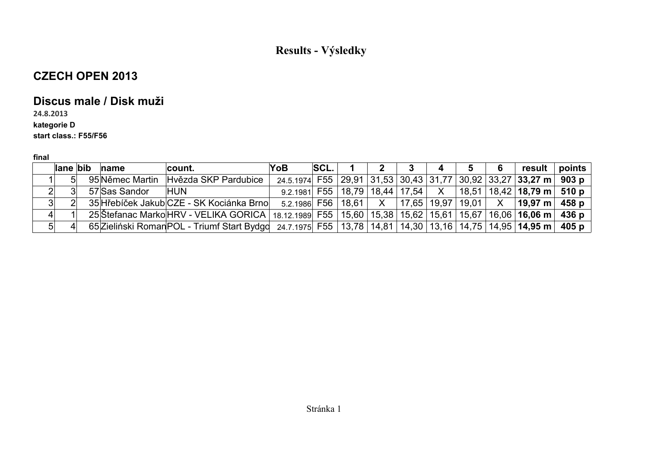## **CZECH OPEN 2013**

### **Discus male / Disk muži**

**24.8.2013**

### **kategorie D**

### **start class.: F55/F56**

|                | llane bib      | $\ln$ ame         | count.                                                                                                                          | <b>YoB</b>                                                                                                    | SCL. |  | 2 3 1 | 4 5 6 | $\mid$ result $\mid$ points                                                       |  |
|----------------|----------------|-------------------|---------------------------------------------------------------------------------------------------------------------------------|---------------------------------------------------------------------------------------------------------------|------|--|-------|-------|-----------------------------------------------------------------------------------|--|
|                | 5 <sup>1</sup> |                   | 95 Němec Martin Hvězda SKP Pardubice                                                                                            | 24.5.1974 F55 29,91 31,53 30,43 31,77 30,92 33,27 <b>33,27 m</b> 903 p                                        |      |  |       |       |                                                                                   |  |
|                | ା              | 57 Sas Sandor HUN |                                                                                                                                 |                                                                                                               |      |  |       |       | 9.2.1981 F55   18,79   18,44   17,54   X   18,51   18,42   <b>18,79 m</b>   510 p |  |
| 3 <sup>2</sup> |                |                   | 35 Hřebíček Jakub CZE - SK Kociánka Brno                                                                                        | 5.2.1986 F56   18,61 $\mid$ X $\mid$ 17,65   19,97   19,01 $\mid$ X $\mid$ <b>19,97 m</b> $\mid$ <b>458 p</b> |      |  |       |       |                                                                                   |  |
| 4              |                |                   | 25 Štefanac Marko HRV - VELIKA GORICA   18.12.1989 F55   15,60   15,38   15,62   15,61   15,67   16,06   <b>16,06 m   436 p</b> |                                                                                                               |      |  |       |       |                                                                                   |  |
| 5 <sup>2</sup> |                |                   | 65 Zieliński Roman POL - Triumf Start Bydgd 24.7.1975 F55   13,78   14,81   14,30   13,16   14,75   14,95   14,95 m   405 p     |                                                                                                               |      |  |       |       |                                                                                   |  |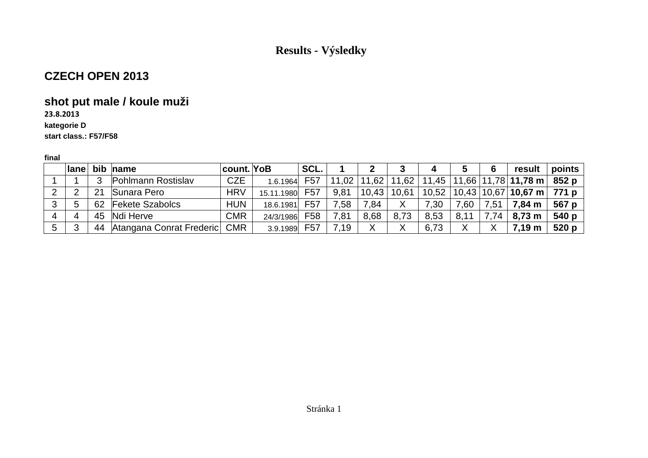### **CZECH OPEN 2013**

# **shot put male / koule muži**

**23.8.2013**

#### **kategorie D**

**start class.: F57/F58**

|   | <b>lane</b> |    | bib name                        | <b>count.</b> YoB |            | SCL.            |         |       |       | 4     |        | 6    | result                 | points        |
|---|-------------|----|---------------------------------|-------------------|------------|-----------------|---------|-------|-------|-------|--------|------|------------------------|---------------|
|   |             |    | Pohlmann Rostislav              | <b>CZE</b>        | 1.6.1964   | F <sub>57</sub> | 11,02   | 11,62 | 11,62 | 11,45 |        |      | $ 11,66 11,78 11,78$ m | 852 p         |
|   |             | 21 | Sunara Pero                     | <b>HRV</b>        | 15.11.1980 | F <sub>57</sub> | 9,81    | 10,43 | 10,61 | 10,52 |        |      |                        |               |
|   | b           | 62 | <b>Fekete Szabolcs</b>          | <b>HUN</b>        | 18.6.1981  | F57             | .58     | .84   |       | 7,30  | 0.60   | 7,51 | 7,84 m                 | 567 p         |
|   |             |    | 45 Ndi Herve                    | <b>CMR</b>        | 24/3/1986  | F58             | $\, 81$ | 8.68  | 8,73  | 8,53  | 8,11   | .74  | $8,73 \; m$            | 540 p $\vert$ |
| 5 |             |    | 44 Atangana Conrat Frederic CMR |                   | 3.9.1989   | F <sub>57</sub> | 7,19    |       |       | 6,73  | v<br>⋏ |      | 7.19 m                 | 520 p $\vert$ |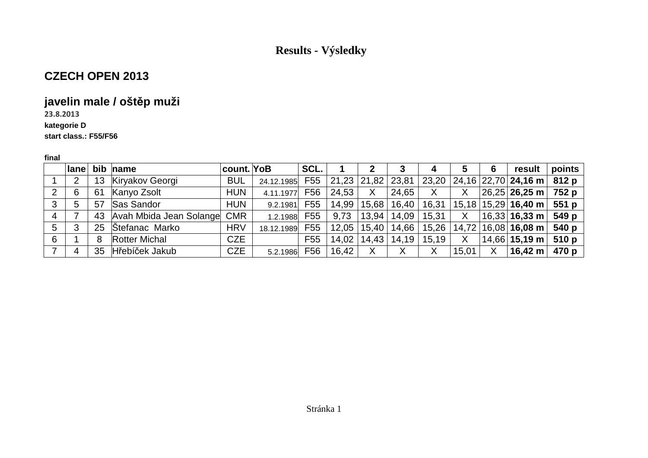### **CZECH OPEN 2013**

# **javelin male / oštěp muži**

**23.8.2013**

#### **kategorie D**

**start class.: F55/F56**

|   | $l$ ane |    | bib name                    | count. YoB |                | SCL. |                             |              | 3     | 4               | 5            | 6 | result                                                                    | points        |
|---|---------|----|-----------------------------|------------|----------------|------|-----------------------------|--------------|-------|-----------------|--------------|---|---------------------------------------------------------------------------|---------------|
|   | 2       | 13 | Kiryakov Georgi             | <b>BUL</b> | 24.12.1985 F55 |      |                             |              |       |                 |              |   | 21,23   21,82   23,81   23,20   24,16   22,70   <b>24,16 m     812  p</b> |               |
| 2 | 6       | 61 | Kanyo Zsolt                 | <b>HUN</b> | 4.11.1977      | F56  | $^{\circ}$ 24,53 $^{\circ}$ | $\mathsf{X}$ | 24,65 | X               | $\mathsf{X}$ |   | $ 26,25 $ 26,25 m   752 p                                                 |               |
| 3 | 5       | 57 | Sas Sandor                  | <b>HUN</b> | 9.2.1981       | F55  | 14,99                       | 15,68        | 16,40 | 16,31           |              |   | $\vert$ 15,18 $\vert$ 15,29 $\vert$ 16,40 m $\vert$                       | 551 p         |
| 4 |         | 43 | Avah Mbida Jean Solange CMR |            | 1.2.1988 F55   |      | 9,73                        | 13,94        |       | $14,09$   15,31 | $\mathsf{X}$ |   | $ 16,33 $ 16,33 m                                                         | 549 p         |
| 5 | 3       |    | 25 Stefanac Marko           | <b>HRV</b> | 18.12.1989 F55 |      | $12,05$   15,40             |              | 14,66 | 15,26           |              |   | $14,72$   16,08   16,08 m                                                 | 540 p         |
| 6 |         | 8  | <b>Rotter Michal</b>        | <b>CZE</b> |                | F55  | 14,02                       | 14,43        | 14,19 | 15,19           | X            |   | $\vert$ 14,66 $\vert$ 15,19 m $\vert$                                     | 510 p $\vert$ |
|   | 4       | 35 | Hřebíček Jakub              | <b>CZE</b> | 5.2.1986 F56   |      | 16,42                       | X            | X     | X               | 15,01        | X | $16,42 \; m$                                                              | 470 p         |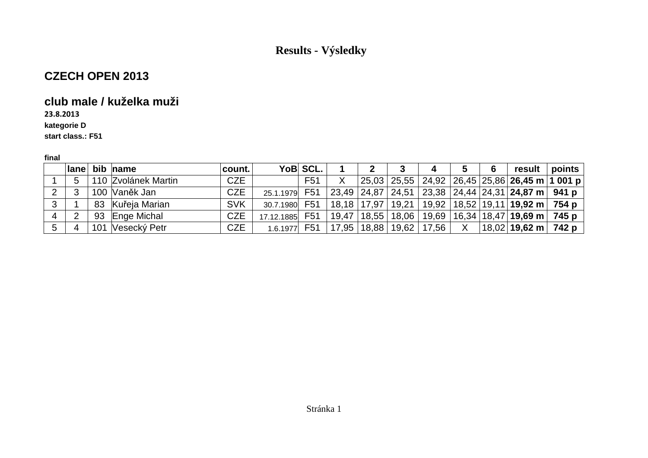### **CZECH OPEN 2013**

### **club male / kuželka muži**

**23.8.2013**

**kategorie D**

**start class.: F51**

|   |                | lane bib name       | count.     |                | YoB SCL. |  | 4                             | $\overline{\mathbf{5}}$ | 6 | result   points                                                                                                                         |  |
|---|----------------|---------------------|------------|----------------|----------|--|-------------------------------|-------------------------|---|-----------------------------------------------------------------------------------------------------------------------------------------|--|
|   | 5              | 110 Zvolánek Martin | <b>CZE</b> |                | F51      |  |                               |                         |   | $\vert$ 25,03 $\vert$ 25,55 $\vert$ 24,92 $\vert$ 26,45 $\vert$ 25,86 $\vert$ 26,45 m $\vert$ 1 001 p $\vert$                           |  |
|   |                | 100 Vaněk Jan       | <b>CZE</b> | 25.1.1979 F51  |          |  |                               |                         |   | $\vert$ 23,49 $\vert$ 24,87 $\vert$ 24,51 $\vert$ 23,38 $\vert$ 24,44 $\vert$ 24,31 $\vert$ <b>24,87 m</b> $\vert$ <b>941 p</b> $\vert$ |  |
| 3 |                | 83 Kuřeja Marian    | <b>SVK</b> | 30.7.1980 F51  |          |  |                               |                         |   | 18,18   17,97   19,21   19,92   18,52   19,11   <b>19,92 m</b>   <b>754 p</b>                                                           |  |
| 4 | $\overline{2}$ | 93 Enge Michal      | <b>CZE</b> | 17.12.1885 F51 |          |  |                               |                         |   | $19,47$   18,55   18,06   19,69   16,34   18,47   <b>19,69 m</b>   <b>745 p</b>                                                         |  |
| 5 |                | 101 Vesecký Petr    | <b>CZE</b> | $1.6.1977$ F51 |          |  | 17,95   18,88   19,62   17,56 | X                       |   | $ 18,02 $ 19,62 m   742 p                                                                                                               |  |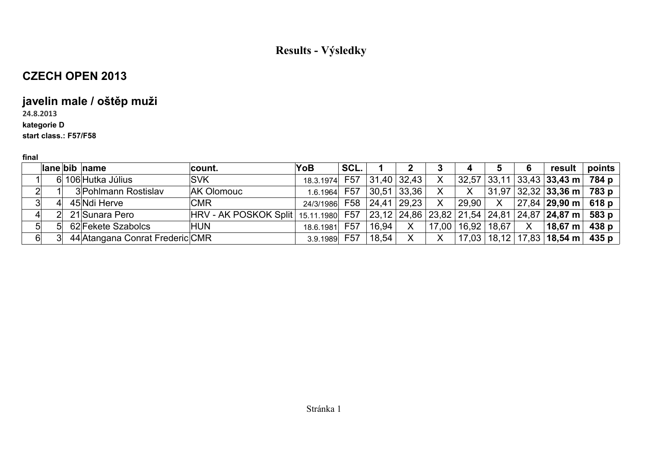## **CZECH OPEN 2013**

# **javelin male / oštěp muži**

### **24.8.2013**

#### **kategorie D**

### **start class.: F57/F58**

|    |  | lane bib name                   | ∣count.                                                                                          | YoB           | SCL.            |       |                 |                    | 4     |              | 6                         | result                                   | points |
|----|--|---------------------------------|--------------------------------------------------------------------------------------------------|---------------|-----------------|-------|-----------------|--------------------|-------|--------------|---------------------------|------------------------------------------|--------|
|    |  | 6 106 Hutka Július              | <b>SVK</b>                                                                                       | 18.3.1974 F57 |                 |       | 31,40 32,43     |                    |       |              |                           | $32,57$ 33,11 33,43 33,43 m 784 p        |        |
| າ  |  | 3 Pohlmann Rostislav            | <b>AK Olomouc</b>                                                                                | 1.6.1964      | F57             |       | 30,51 33,36     |                    | X     |              |                           | $31,97$ 32,32 33,36 m 783 p              |        |
| 3  |  | 45 Ndi Herve                    | <b>CMR</b>                                                                                       | 24/3/1986     |                 |       | F58 24,41 29,23 | Χ                  | 29,90 | $\mathsf{X}$ |                           | $ 27,84 29,90 \text{ m} $ 618 p          |        |
|    |  | 21 Sunara Pero                  | $ HRV - AK$ POSKOK Split $ 15.11.1980 $ F57 $ 23.12 24.86 23.82 21.54 24.81 24.87 24.87 m 583 p$ |               |                 |       |                 |                    |       |              |                           |                                          |        |
| 5  |  | 62 Fekete Szabolcs              | <b>HUN</b>                                                                                       | 18.6.1981     | F <sub>57</sub> | 16,94 | X               | 17,00 <sub>1</sub> | 16.92 | 18,67        | $\boldsymbol{\mathsf{X}}$ | $\vert$ 18,67 m $\vert$                  | 438 p  |
| 61 |  | 44 Atangana Conrat Frederic CMR |                                                                                                  | 3.9.1989      | F <sub>57</sub> | 18,54 |                 |                    |       |              |                           | $17,03$   18,12   17,83   <b>18,54 m</b> | 435 p  |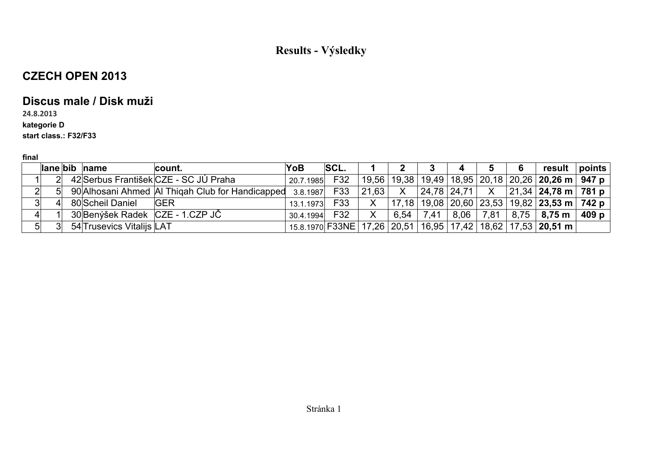## **CZECH OPEN 2013**

### **Discus male / Disk muži**

### **24.8.2013**

#### **kategorie D**

### **start class.: F32/F33**

|                |  | $\vert$ lane $\vert$ bib $\vert$ name | count.                                                        | YoB       | <b>SCL.</b> |              |      |      | $\overline{4}$ | 5             | 6 | result                                                                                                            | points |
|----------------|--|---------------------------------------|---------------------------------------------------------------|-----------|-------------|--------------|------|------|----------------|---------------|---|-------------------------------------------------------------------------------------------------------------------|--------|
|                |  |                                       | 42 Serbus František CZE - SC JÚ Praha                         | 20.7.1985 | F32         |              |      |      |                |               |   | 19,56   19,38   19,49   18,95   20,18   20,26   <b>20,26 m</b>   <b>947  p</b>                                    |        |
| $2\vert$       |  |                                       | 90 Alhosani Ahmed AI Thigah Club for Handicapped 3.8.1987 F33 |           |             |              |      |      |                |               |   | $\vert 21,63 \vert$ X $\vert 24,78 \vert 24,71 \vert$ X $\vert 21,34 \vert 24,78 \vert m \vert 781 \vert p \vert$ |        |
|                |  | 80 Scheil Daniel                      | <b>IGER</b>                                                   | 13.1.1973 | F33         |              |      |      |                |               |   | — X       17,18   19,08   20,60   23,53   19,82   <b>23,53 m    742  p</b>                                        |        |
| $\mathbf{I}$   |  |                                       | 30 Benýšek Radek CZE - 1.CZP JČ                               | 30.4.1994 | F32         | $\mathsf{X}$ | 6,54 | 7,41 |                | $8,06$   7,81 |   | $ 8,75 $ 8,75 m $ 409p $                                                                                          |        |
| 5 <sup>1</sup> |  | 54 Trusevics Vitalijs LAT             |                                                               |           |             |              |      |      |                |               |   | 15.8.1970 F33NE 17,26 20,51 16,95 17,42 18,62 17,53 20,51 m                                                       |        |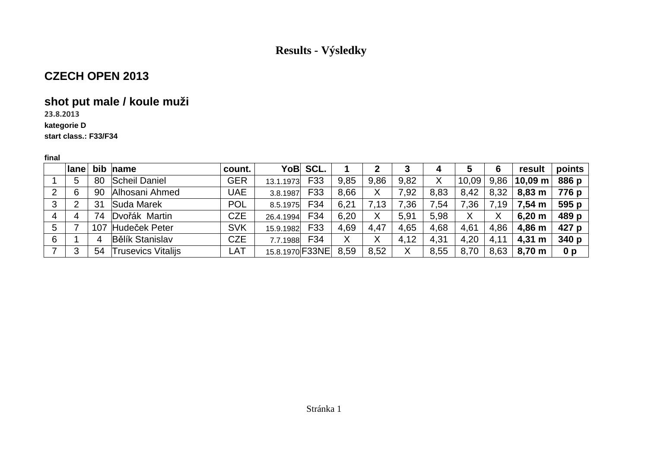### **CZECH OPEN 2013**

## **shot put male / koule muži**

**23.8.2013**

#### **kategorie D**

**start class.: F33/F34**

|   | <b>Ilane</b> |    | bib name                  | count.     |                 | YoB SCL. |      |      |      |                 | 5     | 6    | result       | points         |
|---|--------------|----|---------------------------|------------|-----------------|----------|------|------|------|-----------------|-------|------|--------------|----------------|
|   | 5            | 80 | <b>Scheil Daniel</b>      | <b>GER</b> | 13.1.1973       | F33      | 9,85 | 9.86 | 9.82 | Χ               | 10,09 | 9,86 | $10,09 \; m$ | 886 p          |
|   | 6            | 90 | Alhosani Ahmed            | UAE        | 3.8.1987        | F33      | 8.66 | Χ    | 7,92 | 8,83            | 8,42  | 8,32 | 8,83 m       | 776 p          |
| 3 | 2            | 31 | Suda Marek                | <b>POL</b> | 8.5.1975        | F34      | 6,21 | 7.13 | 7,36 | $^{\prime}$ .54 | 7,36  | 7,19 | 7,54 m       | 595 p          |
| 4 | 4            | 74 | Dvořák Martin             | <b>CZE</b> | 26.4.1994       | F34      | 6,20 | Χ    | 5,91 | 5,98            | X     | X    | 6,20 m       | 489 p          |
| 5 |              |    | 107 Hudeček Peter         | <b>SVK</b> | 15.9.1982       | F33      | 4,69 | 4,47 | 4,65 | 4,68            | 4,61  | 4,86 | 4,86 m       | 427 p          |
| 6 |              |    | <b>Bělík Stanislav</b>    | <b>CZE</b> | 7.7.1988        | F34      | Χ    | X    | 4,12 | 4,31            | 4,20  | 4,11 | $4,31 \; m$  | 340p           |
|   | 3            | 54 | <b>Trusevics Vitalijs</b> | LAT        | 15.8.1970 F33NE |          | 8,59 | 8,52 |      | 8,55            | 8,70  | 8,63 | 8,70 m       | 0 <sub>p</sub> |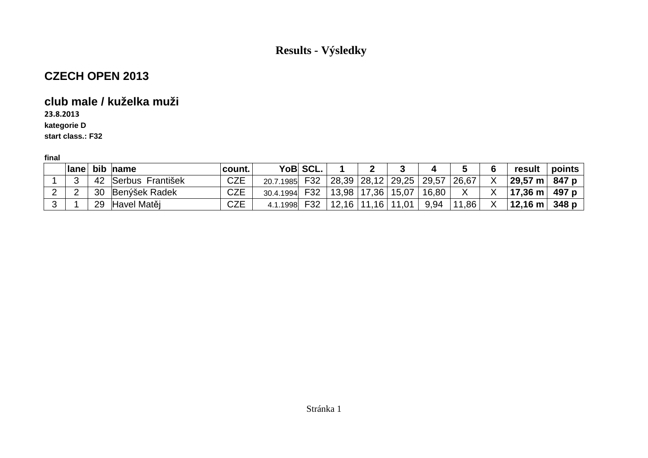### **CZECH OPEN 2013**

### **club male / kuželka muži**

**23.8.2013**

**kategorie D**

**start class.: F32**

| ⊩lane⊺ |    | bib name         | count.     |           | YoB SCL. |                 |       |         |       |       | result                        | points |
|--------|----|------------------|------------|-----------|----------|-----------------|-------|---------|-------|-------|-------------------------------|--------|
| ⌒<br>◡ | 42 | Serbus František | <b>CZE</b> | 20.7.1985 | F32      | $28,39$   28,12 |       | 29,25   | 29,57 | 26,67 | $29,57 \text{ m}$             | 847 p  |
|        | 30 | Benýšek Radek    | CZE        | 30.4.1994 | F32      | $13,98$   17,36 |       | 15,07   | 16,80 |       | $^{\circ}$ 17,36 m $_{\odot}$ | 497 p  |
|        | 29 | Havel Matěj      | CZE        | 4.1.1998  | F32      | 12,16           | 11,16 | $11,01$ | 9,94  | 11,86 | $12,16 \text{ m}$             | 348 p  |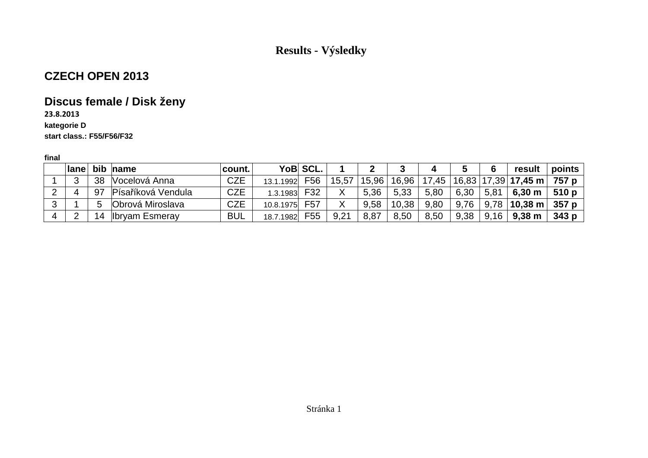## **CZECH OPEN 2013**

# **Discus female / Disk ženy**

### **23.8.2013**

#### **kategorie D**

**start class.: F55/F56/F32**

| $ $ ane $ $ |    | bib name                | count.     |           | YoB SCL.        |       |       |       | 4     | ა    | 6    | result                                                         | points |
|-------------|----|-------------------------|------------|-----------|-----------------|-------|-------|-------|-------|------|------|----------------------------------------------------------------|--------|
|             | 38 | Vocelová Anna           | <b>CZE</b> | 13.1.1992 | F56             | 15,57 | 15,96 | 16,96 | 17,45 |      |      | $^{\shortmid}$ 16,83 $\mid$ 17,39 $\mid$ <b>17,45 m</b> $\mid$ | 757 p  |
|             |    | 97 Písaříková Vendula   | <b>CZE</b> | 1.3.1983  | F32             |       | 5,36  | 5,33  | 5,80  | 6,30 | 5,81 | $6,30 \; \text{m}$                                             | 510p   |
|             |    | <b>Obrová Miroslava</b> | <b>CZE</b> | 10.8.1975 | F <sub>57</sub> |       | 9,58  | 10,38 | 9,80  | 9,76 | 9,78 | $\pm$ 10,38 m $\pm$                                            | 357 p  |
|             | 14 | <b>Ibryam Esmeray</b>   | <b>BUL</b> | 18.7.1982 | F55             | 9,21  | 8,87  | 8,50  | 8,50  | 9,38 | 9,16 | $9,38$ m                                                       | 343p   |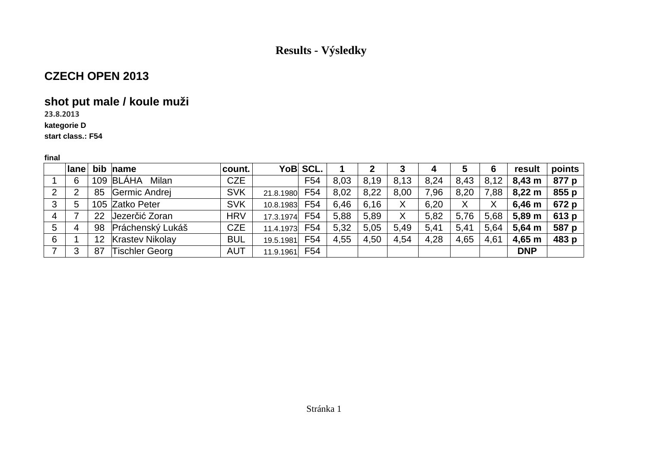### **CZECH OPEN 2013**

## **shot put male / koule muži**

**23.8.2013**

#### **kategorie D**

#### **start class.: F54**

|   | $ $ ane        |    | bib name               | count.     |           | YoB SCL.        |      |      | 3    | 4    | 5    | 6    | result      | points        |
|---|----------------|----|------------------------|------------|-----------|-----------------|------|------|------|------|------|------|-------------|---------------|
|   | 6              |    | 109 BLÁHA<br>Milan     | <b>CZE</b> |           | F <sub>54</sub> | 8,03 | 8,19 | 8,13 | 8,24 | 8,43 | 8,12 | $8,43 \; m$ | 877 $p$       |
| 2 | $\overline{2}$ | 85 | Germic Andrej          | <b>SVK</b> | 21.8.1980 | F54             | 8,02 | 8,22 | 8.00 | 7,96 | 8,20 | 7,88 | $8,22 \; m$ | 855p          |
| 3 | 5              |    | 105 Zatko Peter        | <b>SVK</b> | 10.8.1983 | F54             | 6,46 | 6,16 |      | 6,20 | X    | Χ    | 6,46 m      | 672 p $\vert$ |
| 4 |                | 22 | Jezerčić Zoran         | <b>HRV</b> | 17.3.1974 | F54             | 5,88 | 5.89 |      | 5.82 | 5,76 | 5,68 | 5,89 m      | 613 $p$       |
| 5 | 4              | 98 | Práchenský Lukáš       | <b>CZE</b> | 11.4.1973 | F54             | 5,32 | 5,05 | 5.49 | 5,41 | 5,41 | 5,64 | 5,64 m      | 587 p         |
| 6 |                | 12 | <b>Krastev Nikolay</b> | <b>BUL</b> | 19.5.1981 | F <sub>54</sub> | 4,55 | 4,50 | 4,54 | 4,28 | 4,65 | 4,61 | 4,65 m      | 483 $p$       |
|   | 3              | 87 | Tischler Georg         | <b>AUT</b> | 11.9.1961 | F54             |      |      |      |      |      |      | <b>DNP</b>  |               |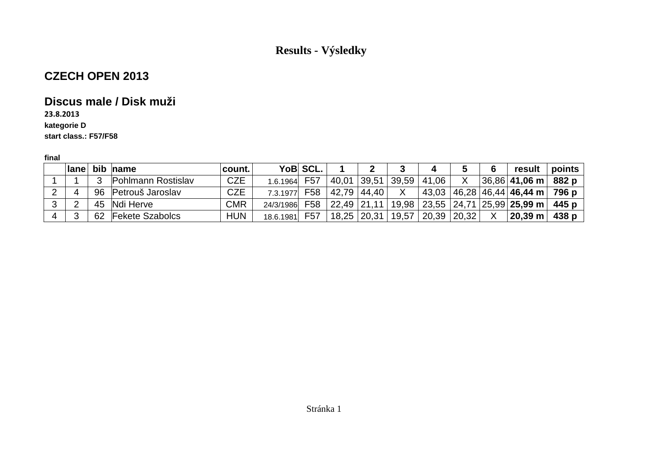### **CZECH OPEN 2013**

### **Discus male / Disk muži**

**23.8.2013**

#### **kategorie D**

**start class.: F57/F58**

|   | $ $ ane | bib name            | count.     |           | YoB SCL. |                 |              | 4     |                       | 6 | result                                           | points |
|---|---------|---------------------|------------|-----------|----------|-----------------|--------------|-------|-----------------------|---|--------------------------------------------------|--------|
|   |         | Pohlmann Rostislav  | <b>CZE</b> | 1.6.1964  | F57      | $40,01$ 39,51   | 39,59        | 41,06 |                       |   | $ 36,86 $ 41,06 m $ $                            | 882 p  |
|   |         | 96 Petrouš Jaroslav | <b>CZE</b> | 7.3.1977  | F58      | 42,79 44,40     | $\mathsf{X}$ | 43,03 |                       |   | 46,28   46,44   <b>46,44 m</b>   .               | 796 p  |
| ◠ |         | 45 Ndi Herve        | <b>CMR</b> | 24/3/1986 | F58      | 22,49 21,11     |              |       |                       |   | $19,98$   23,55   24,71   25,99   <b>25,99 m</b> | 445 p  |
|   |         | 62 Fekete Szabolcs  | <b>HUN</b> | 18.6.1981 | F57      | $18,25$   20,31 | 19,57        | 20,39 | $\vert$ 20,32 $\vert$ |   | $^{\shortmid}$ 20,39 m $_{\shortmid}$            | 438 p  |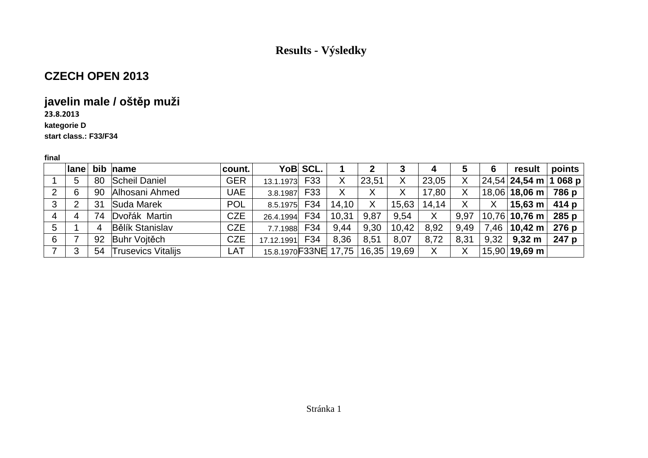### **CZECH OPEN 2013**

## **javelin male / oštěp muži**

### **23.8.2013**

#### **kategorie D**

#### **start class.: F33/F34**

|   | $ $ ane |    | bib name                  | count.     |                               | YoB SCL.   |       |       |       | 4     | 5    | 6    | result                      | points |
|---|---------|----|---------------------------|------------|-------------------------------|------------|-------|-------|-------|-------|------|------|-----------------------------|--------|
|   | 5       | 80 | Scheil Daniel             | <b>GER</b> | 13.1.1973                     | <b>F33</b> |       | 23,51 | X     | 23,05 | Χ    |      | $ 24,54 $ 24,54 m   1 068 p |        |
|   | 6       |    | 90 Alhosani Ahmed         | <b>UAE</b> | 3.8.1987                      | F33        | X     | Χ     |       | 17,80 | Χ    |      | $18,06$ 18,06 m             | 786 p  |
| 3 | 2       | 31 | Suda Marek                | <b>POL</b> | 8.5.1975 F34                  |            | 14,10 | Χ     | 15,63 | 14,14 | Χ    | X    | $\vert$ 15,63 m $\vert$     | 414 p  |
| 4 | 4       | 74 | Dvořák Martin             | <b>CZE</b> | 26.4.1994                     | F34        | 10,31 | 9,87  | 9.54  | X     | 9,97 |      | 10,76 10,76 m               | 285p   |
| 5 |         | -4 | <b>Bělík Stanislav</b>    | <b>CZE</b> | 7.7.1988                      | F34        | 9,44  | 9,30  | 10,42 | 8,92  | 9,49 | 7,46 | $\vert$ 10,42 m $\vert$     | 276 p  |
| 6 |         | 92 | Buhr Vojtěch              | <b>CZE</b> | 17.12.1991                    | F34        | 8,36  | 8,51  | 8,07  | 8,72  | 8,31 | 9,32 | $9,32 \; m$                 | 247 p  |
|   | 3       | 54 | <b>Trusevics Vitalijs</b> | LAT        | 15.8.1970 F33NE 17,75   16,35 |            |       |       | 19,69 | Χ     | Χ    |      | $15,90 $ 19,69 m            |        |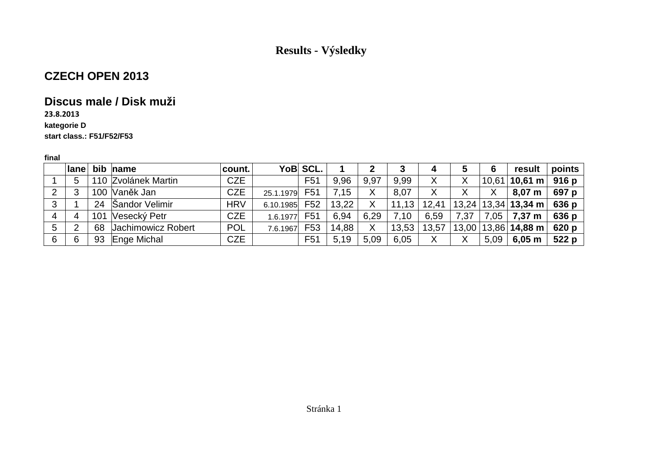### **CZECH OPEN 2013**

### **Discus male / Disk muži**

### **23.8.2013**

#### **kategorie D**

#### **start class.: F51/F52/F53**

|   | $ $ ane |    | bib $ name$         | count.     |           | YoB SCL.         |       |      | З     | 4      | 5     | 6     | result                | points  |
|---|---------|----|---------------------|------------|-----------|------------------|-------|------|-------|--------|-------|-------|-----------------------|---------|
|   | 5       |    | 110 Zvolánek Martin | <b>CZE</b> |           | F <sub>5</sub> 1 | 9.96  | 9,97 | 9.99  | X      | Χ     | 10,61 | $10,61 \; m$          | 916 p   |
|   | 3       |    | 100 Vaněk Jan       | <b>CZE</b> | 25.1.1979 | F <sub>51</sub>  | 7,15  | X    | 8,07  | Χ      | Χ     | Χ     | $8,07 \; \mathrm{m}$  | 697 p   |
|   |         |    | 24   Šandor Velimir | <b>HRV</b> | 6.10.1985 | F <sub>52</sub>  | 13,22 |      | 11,13 | 12,41  | 13,24 |       | $ 13,34 $ 13,34 m $ $ | 636 $p$ |
| 4 | 4       |    | 101 Vesecký Petr    | <b>CZE</b> | 1.6.1977  | F <sub>51</sub>  | 6.94  | 6,29 | 7.10  | 6,59   | 7,37  | 7,05  | 7,37 m                | 636 p   |
| 5 | ⌒       | 68 | Jachimowicz Robert  | <b>POL</b> | 7.6.1967  | F <sub>53</sub>  | 14,88 | X    | 13,53 | 13,57  | 13,00 |       | $13,86$ 14,88 m       | 620 p   |
|   | 6       |    | 93 Enge Michal      | <b>CZE</b> |           | F <sub>51</sub>  | 5,19  | 5.09 | 6,05  | v<br>∧ | X     | 5,09  | $6,05 \; m$           | 522 p   |